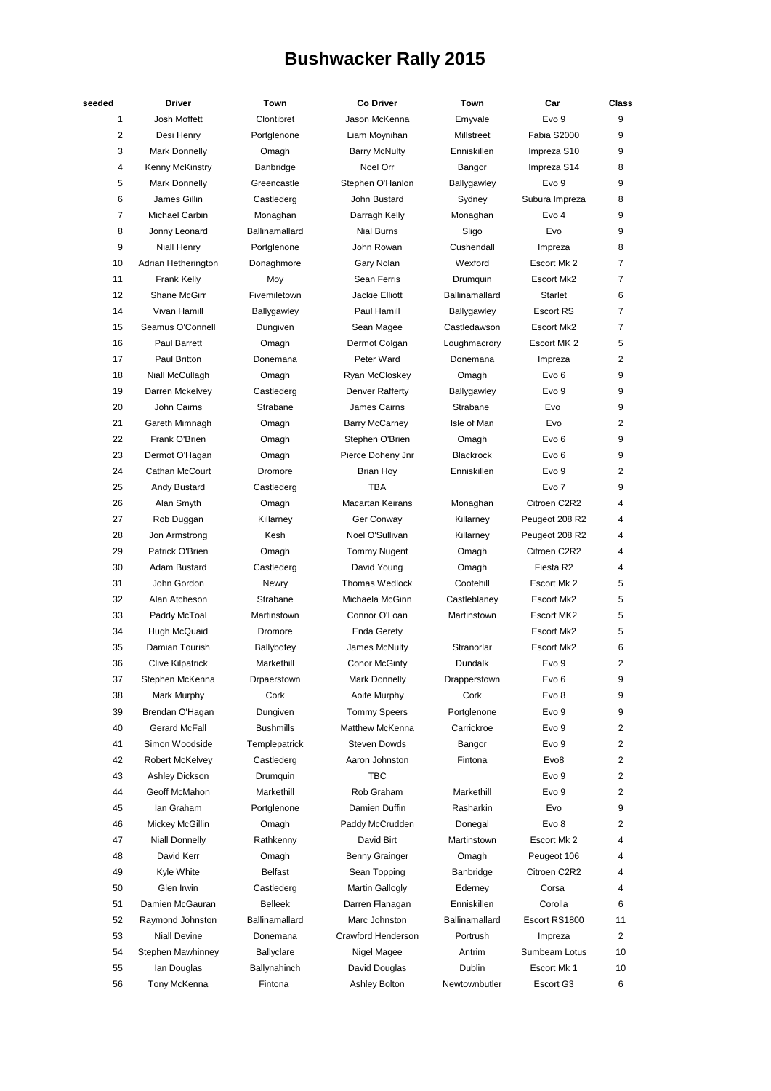## **Bushwacker Rally 2015**

| seeded         | <b>Driver</b>           | Town             | <b>Co Driver</b>        | Town             | Car               | Class          |
|----------------|-------------------------|------------------|-------------------------|------------------|-------------------|----------------|
| 1              | Josh Moffett            | Clontibret       | Jason McKenna           | Emyvale          | Evo 9             | 9              |
| 2              | Desi Henry              | Portglenone      | Liam Moynihan           | Millstreet       | Fabia S2000       | 9              |
| 3              | Mark Donnelly           | Omagh            | <b>Barry McNulty</b>    | Enniskillen      | Impreza S10       | 9              |
| 4              | Kenny McKinstry         | Banbridge        | Noel Orr                | Bangor           | Impreza S14       | 8              |
| 5              | Mark Donnelly           | Greencastle      | Stephen O'Hanlon        | Ballygawley      | Evo 9             | 9              |
| 6              | James Gillin            | Castlederg       | John Bustard            | Sydney           | Subura Impreza    | 8              |
| $\overline{7}$ | Michael Carbin          | Monaghan         | Darragh Kelly           | Monaghan         | Evo <sub>4</sub>  | 9              |
| 8              | Jonny Leonard           | Ballinamallard   | <b>Nial Burns</b>       | Sligo            | Evo               | 9              |
| 9              | <b>Niall Henry</b>      | Portglenone      | John Rowan              | Cushendall       | Impreza           | 8              |
| 10             | Adrian Hetherington     | Donaghmore       | Gary Nolan              | Wexford          | Escort Mk 2       | $\overline{7}$ |
| 11             | Frank Kelly             | Moy              | Sean Ferris             | Drumquin         | Escort Mk2        | 7              |
| 12             | <b>Shane McGirr</b>     | Fivemiletown     | Jackie Elliott          | Ballinamallard   | <b>Starlet</b>    | 6              |
| 14             | Vivan Hamill            | Ballygawley      | Paul Hamill             | Ballygawley      | <b>Escort RS</b>  | 7              |
| 15             | Seamus O'Connell        | Dungiven         | Sean Magee              | Castledawson     | Escort Mk2        | $\overline{7}$ |
| 16             | Paul Barrett            | Omagh            | Dermot Colgan           | Loughmacrory     | Escort MK 2       | 5              |
| 17             | Paul Britton            | Donemana         | Peter Ward              | Donemana         | Impreza           | 2              |
| 18             | Niall McCullagh         | Omagh            | Ryan McCloskey          | Omagh            | Evo 6             | 9              |
| 19             | Darren Mckelvey         | Castlederg       | Denver Rafferty         | Ballygawley      | Evo 9             | 9              |
| 20             | John Cairns             | Strabane         | James Cairns            | Strabane         | Evo               | 9              |
| 21             | Gareth Mimnagh          | Omagh            | <b>Barry McCarney</b>   | Isle of Man      | Evo               | 2              |
| 22             | Frank O'Brien           | Omagh            | Stephen O'Brien         | Omagh            | Evo <sub>6</sub>  | 9              |
| 23             | Dermot O'Hagan          | Omagh            | Pierce Doheny Jnr       | <b>Blackrock</b> | Evo 6             | 9              |
| 24             | Cathan McCourt          | Dromore          | <b>Brian Hoy</b>        | Enniskillen      | Evo 9             | 2              |
| 25             | Andy Bustard            | Castlederg       | <b>TBA</b>              |                  | Evo 7             | 9              |
| 26             | Alan Smyth              | Omagh            | <b>Macartan Keirans</b> | Monaghan         | Citroen C2R2      | 4              |
| 27             | Rob Duggan              | Killarney        | Ger Conway              | Killarney        | Peugeot 208 R2    | 4              |
| 28             |                         | Kesh             | Noel O'Sullivan         |                  |                   | 4              |
|                | Jon Armstrong           |                  |                         | Killarney        | Peugeot 208 R2    |                |
| 29             | Patrick O'Brien         | Omagh            | <b>Tommy Nugent</b>     | Omagh            | Citroen C2R2      | 4              |
| 30             | Adam Bustard            | Castlederg       | David Young             | Omagh            | Fiesta R2         | 4              |
| 31             | John Gordon             | <b>Newry</b>     | <b>Thomas Wedlock</b>   | Cootehill        | Escort Mk 2       | 5              |
| 32             | Alan Atcheson           | Strabane         | Michaela McGinn         | Castleblaney     | <b>Escort Mk2</b> | 5              |
| 33             | Paddy McToal            | Martinstown      | Connor O'Loan           | Martinstown      | Escort MK2        | 5              |
| 34             | Hugh McQuaid            | Dromore          | Enda Gerety             |                  | Escort Mk2        | 5              |
| 35             | Damian Tourish          | Ballybofey       | James McNulty           | Stranorlar       | Escort Mk2        | 6              |
| 36             | <b>Clive Kilpatrick</b> | Markethill       | <b>Conor McGinty</b>    | Dundalk          | Evo <sub>9</sub>  | 2              |
| 37             | Stephen McKenna         | Drpaerstown      | Mark Donnelly           | Drapperstown     | Evo 6             | 9              |
| 38             | Mark Murphy             | Cork             | Aoife Murphy            | Cork             | Evo 8             | 9              |
| 39             | Brendan O'Hagan         | Dungiven         | <b>Tommy Speers</b>     | Portglenone      | Evo 9             | 9              |
| 40             | <b>Gerard McFall</b>    | <b>Bushmills</b> | Matthew McKenna         | Carrickroe       | Evo 9             | 2              |
| 41             | Simon Woodside          | Templepatrick    | <b>Steven Dowds</b>     | Bangor           | Evo 9             | 2              |
| 42             | Robert McKelvey         | Castlederg       | Aaron Johnston          | Fintona          | Evo <sub>8</sub>  | 2              |
| 43             | Ashley Dickson          | Drumquin         | ТВС                     |                  | Evo 9             | 2              |
| 44             | Geoff McMahon           | Markethill       | Rob Graham              | Markethill       | Evo 9             | 2              |
| 45             | lan Graham              | Portglenone      | Damien Duffin           | Rasharkin        | Evo               | 9              |
| 46             | Mickey McGillin         | Omagh            | Paddy McCrudden         | Donegal          | Evo 8             | 2              |
| 47             | <b>Niall Donnelly</b>   | Rathkenny        | David Birt              | Martinstown      | Escort Mk 2       | 4              |
| 48             | David Kerr              | Omagh            | Benny Grainger          | Omagh            | Peugeot 106       | 4              |
| 49             | Kyle White              | Belfast          | Sean Topping            | Banbridge        | Citroen C2R2      | 4              |
| 50             | Glen Irwin              | Castlederg       | Martin Gallogly         | Ederney          | Corsa             | 4              |
| 51             | Damien McGauran         | <b>Belleek</b>   | Darren Flanagan         | Enniskillen      | Corolla           | 6              |
| 52             | Raymond Johnston        | Ballinamallard   | Marc Johnston           | Ballinamallard   | Escort RS1800     | 11             |
| 53             | <b>Niall Devine</b>     | Donemana         | Crawford Henderson      | Portrush         | Impreza           | 2              |
| 54             | Stephen Mawhinney       | Ballyclare       | Nigel Magee             | Antrim           | Sumbeam Lotus     | 10             |
| 55             | lan Douglas             | Ballynahinch     | David Douglas           | Dublin           | Escort Mk 1       | 10             |
| 56             | Tony McKenna            | Fintona          | Ashley Bolton           | Newtownbutler    | Escort G3         | 6              |